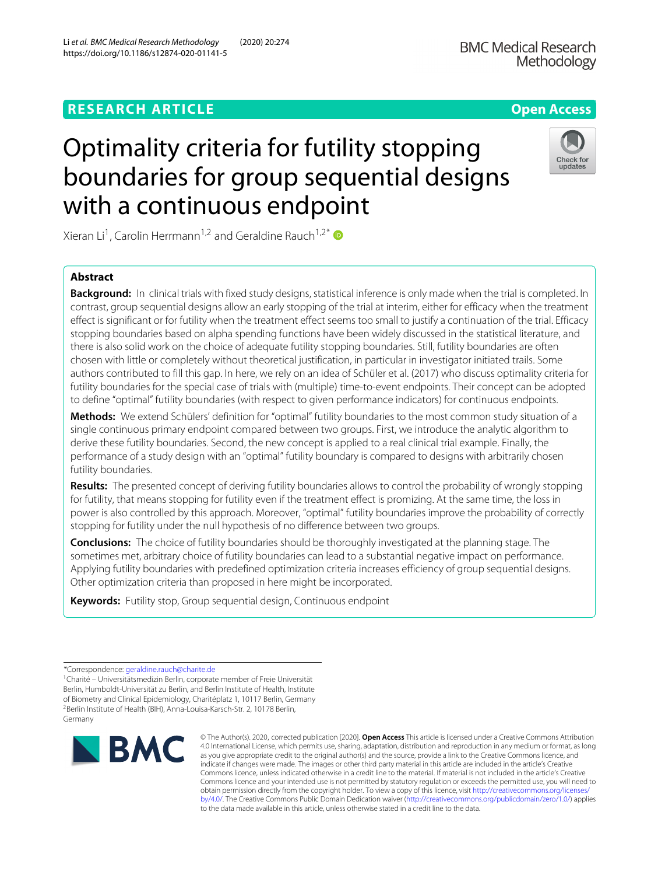## **RESEARCH ARTICLE Open Access**

# Optimality criteria for futility stopping boundaries for group sequential designs with a continuous endpoint

Xieran Li<sup>1</sup>, Carolin Herrmann<sup>1,2</sup> and Geraldine Rauch<sup>1,2\*</sup>

## **Abstract**

**Background:** In clinical trials with fixed study designs, statistical inference is only made when the trial is completed. In contrast, group sequential designs allow an early stopping of the trial at interim, either for efficacy when the treatment effect is significant or for futility when the treatment effect seems too small to justify a continuation of the trial. Efficacy stopping boundaries based on alpha spending functions have been widely discussed in the statistical literature, and there is also solid work on the choice of adequate futility stopping boundaries. Still, futility boundaries are often chosen with little or completely without theoretical justification, in particular in investigator initiated trails. Some authors contributed to fill this gap. In here, we rely on an idea of Schüler et al. (2017) who discuss optimality criteria for futility boundaries for the special case of trials with (multiple) time-to-event endpoints. Their concept can be adopted to define "optimal" futility boundaries (with respect to given performance indicators) for continuous endpoints.

**Methods:** We extend Schülers' definition for "optimal" futility boundaries to the most common study situation of a single continuous primary endpoint compared between two groups. First, we introduce the analytic algorithm to derive these futility boundaries. Second, the new concept is applied to a real clinical trial example. Finally, the performance of a study design with an "optimal" futility boundary is compared to designs with arbitrarily chosen futility boundaries.

**Results:** The presented concept of deriving futility boundaries allows to control the probability of wrongly stopping for futility, that means stopping for futility even if the treatment effect is promizing. At the same time, the loss in power is also controlled by this approach. Moreover, "optimal" futility boundaries improve the probability of correctly stopping for futility under the null hypothesis of no difference between two groups.

**Conclusions:** The choice of futility boundaries should be thoroughly investigated at the planning stage. The sometimes met, arbitrary choice of futility boundaries can lead to a substantial negative impact on performance. Applying futility boundaries with predefined optimization criteria increases efficiency of group sequential designs. Other optimization criteria than proposed in here might be incorporated.

**Keywords:** Futility stop, Group sequential design, Continuous endpoint

\*Correspondence: [geraldine.rauch@charite.de](mailto: geraldine.rauch@charite.de)



© The Author(s). 2020, corrected publication [2020]. **Open Access** This article is licensed under a Creative Commons Attribution 4.0 International License, which permits use, sharing, adaptation, distribution and reproduction in any medium or format, as long as you give appropriate credit to the original author(s) and the source, provide a link to the Creative Commons licence, and indicate if changes were made. The images or other third party material in this article are included in the article's Creative Commons licence, unless indicated otherwise in a credit line to the material. If material is not included in the article's Creative Commons licence and your intended use is not permitted by statutory regulation or exceeds the permitted use, you will need to obtain permission directly from the copyright holder. To view a copy of this licence, visit [http://creativecommons.org/licenses/](http://creativecommons.org/licenses/by/4.0/) [by/4.0/.](http://creativecommons.org/licenses/by/4.0/) The Creative Commons Public Domain Dedication waiver [\(http://creativecommons.org/publicdomain/zero/1.0/\)](http://creativecommons.org/publicdomain/zero/1.0/) applies to the data made available in this article, unless otherwise stated in a credit line to the data.



<sup>1</sup>Charité – Universitätsmedizin Berlin, corporate member of Freie Universität Berlin, Humboldt-Universität zu Berlin, and Berlin Institute of Health, Institute of Biometry and Clinical Epidemiology, Charitéplatz 1, 10117 Berlin, Germany 2Berlin Institute of Health (BIH), Anna-Louisa-Karsch-Str. 2, 10178 Berlin, Germany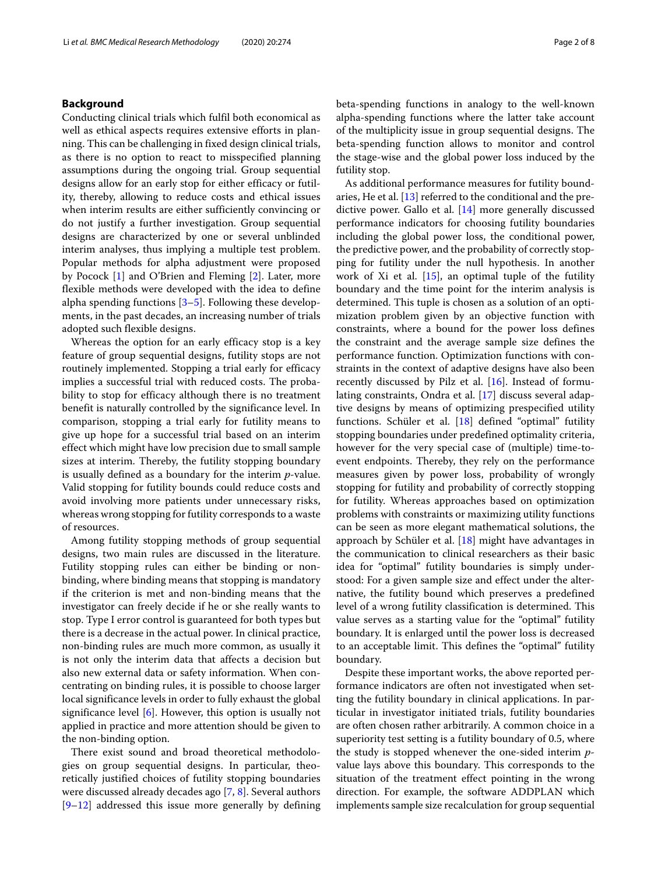#### **Background**

Conducting clinical trials which fulfil both economical as well as ethical aspects requires extensive efforts in planning. This can be challenging in fixed design clinical trials, as there is no option to react to misspecified planning assumptions during the ongoing trial. Group sequential designs allow for an early stop for either efficacy or futility, thereby, allowing to reduce costs and ethical issues when interim results are either sufficiently convincing or do not justify a further investigation. Group sequential designs are characterized by one or several unblinded interim analyses, thus implying a multiple test problem. Popular methods for alpha adjustment were proposed by Pocock [\[1\]](#page-7-0) and O'Brien and Fleming [\[2\]](#page-7-1). Later, more flexible methods were developed with the idea to define alpha spending functions  $[3-5]$  $[3-5]$ . Following these developments, in the past decades, an increasing number of trials adopted such flexible designs.

Whereas the option for an early efficacy stop is a key feature of group sequential designs, futility stops are not routinely implemented. Stopping a trial early for efficacy implies a successful trial with reduced costs. The probability to stop for efficacy although there is no treatment benefit is naturally controlled by the significance level. In comparison, stopping a trial early for futility means to give up hope for a successful trial based on an interim effect which might have low precision due to small sample sizes at interim. Thereby, the futility stopping boundary is usually defined as a boundary for the interim *p*-value. Valid stopping for futility bounds could reduce costs and avoid involving more patients under unnecessary risks, whereas wrong stopping for futility corresponds to a waste of resources.

Among futility stopping methods of group sequential designs, two main rules are discussed in the literature. Futility stopping rules can either be binding or nonbinding, where binding means that stopping is mandatory if the criterion is met and non-binding means that the investigator can freely decide if he or she really wants to stop. Type I error control is guaranteed for both types but there is a decrease in the actual power. In clinical practice, non-binding rules are much more common, as usually it is not only the interim data that affects a decision but also new external data or safety information. When concentrating on binding rules, it is possible to choose larger local significance levels in order to fully exhaust the global significance level [\[6\]](#page-7-4). However, this option is usually not applied in practice and more attention should be given to the non-binding option.

There exist sound and broad theoretical methodologies on group sequential designs. In particular, theoretically justified choices of futility stopping boundaries were discussed already decades ago [\[7,](#page-7-5) [8\]](#page-7-6). Several authors [\[9](#page-7-7)[–12\]](#page-7-8) addressed this issue more generally by defining beta-spending functions in analogy to the well-known alpha-spending functions where the latter take account of the multiplicity issue in group sequential designs. The beta-spending function allows to monitor and control the stage-wise and the global power loss induced by the futility stop.

As additional performance measures for futility boundaries, He et al. [\[13\]](#page-7-9) referred to the conditional and the predictive power. Gallo et al. [\[14\]](#page-7-10) more generally discussed performance indicators for choosing futility boundaries including the global power loss, the conditional power, the predictive power, and the probability of correctly stopping for futility under the null hypothesis. In another work of Xi et al.  $[15]$ , an optimal tuple of the futility boundary and the time point for the interim analysis is determined. This tuple is chosen as a solution of an optimization problem given by an objective function with constraints, where a bound for the power loss defines the constraint and the average sample size defines the performance function. Optimization functions with constraints in the context of adaptive designs have also been recently discussed by Pilz et al. [\[16\]](#page-7-12). Instead of formulating constraints, Ondra et al. [\[17\]](#page-7-13) discuss several adaptive designs by means of optimizing prespecified utility functions. Schüler et al. [\[18\]](#page-7-14) defined "optimal" futility stopping boundaries under predefined optimality criteria, however for the very special case of (multiple) time-toevent endpoints. Thereby, they rely on the performance measures given by power loss, probability of wrongly stopping for futility and probability of correctly stopping for futility. Whereas approaches based on optimization problems with constraints or maximizing utility functions can be seen as more elegant mathematical solutions, the approach by Schüler et al. [\[18\]](#page-7-14) might have advantages in the communication to clinical researchers as their basic idea for "optimal" futility boundaries is simply understood: For a given sample size and effect under the alternative, the futility bound which preserves a predefined level of a wrong futility classification is determined. This value serves as a starting value for the "optimal" futility boundary. It is enlarged until the power loss is decreased to an acceptable limit. This defines the "optimal" futility boundary.

Despite these important works, the above reported performance indicators are often not investigated when setting the futility boundary in clinical applications. In particular in investigator initiated trials, futility boundaries are often chosen rather arbitrarily. A common choice in a superiority test setting is a futility boundary of 0.5, where the study is stopped whenever the one-sided interim *p*value lays above this boundary. This corresponds to the situation of the treatment effect pointing in the wrong direction. For example, the software ADDPLAN which implements sample size recalculation for group sequential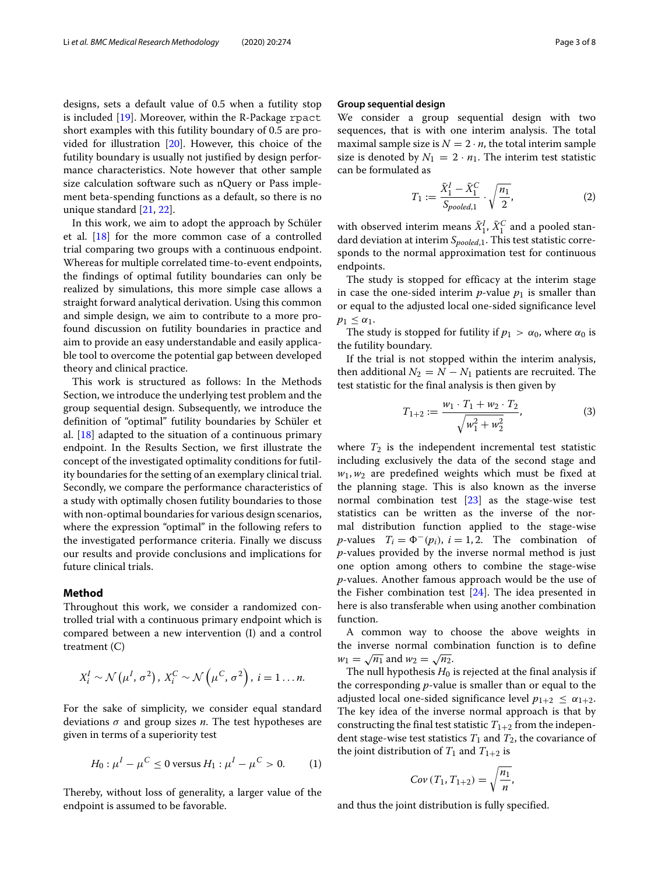designs, sets a default value of 0.5 when a futility stop is included [\[19\]](#page-7-15). Moreover, within the R-Package rpact short examples with this futility boundary of 0.5 are provided for illustration [\[20\]](#page-7-16). However, this choice of the futility boundary is usually not justified by design performance characteristics. Note however that other sample size calculation software such as nQuery or Pass implement beta-spending functions as a default, so there is no unique standard [\[21,](#page-7-17) [22\]](#page-7-18).

In this work, we aim to adopt the approach by Schüler et al. [\[18\]](#page-7-14) for the more common case of a controlled trial comparing two groups with a continuous endpoint. Whereas for multiple correlated time-to-event endpoints, the findings of optimal futility boundaries can only be realized by simulations, this more simple case allows a straight forward analytical derivation. Using this common and simple design, we aim to contribute to a more profound discussion on futility boundaries in practice and aim to provide an easy understandable and easily applicable tool to overcome the potential gap between developed theory and clinical practice.

This work is structured as follows: In the Methods Section, we introduce the underlying test problem and the group sequential design. Subsequently, we introduce the definition of "optimal" futility boundaries by Schüler et al. [\[18\]](#page-7-14) adapted to the situation of a continuous primary endpoint. In the Results Section, we first illustrate the concept of the investigated optimality conditions for futility boundaries for the setting of an exemplary clinical trial. Secondly, we compare the performance characteristics of a study with optimally chosen futility boundaries to those with non-optimal boundaries for various design scenarios, where the expression "optimal" in the following refers to the investigated performance criteria. Finally we discuss our results and provide conclusions and implications for future clinical trials.

#### **Method**

Throughout this work, we consider a randomized controlled trial with a continuous primary endpoint which is compared between a new intervention (I) and a control treatment (C)

$$
X_i^I \sim \mathcal{N}(\mu^I, \sigma^2), X_i^C \sim \mathcal{N}(\mu^C, \sigma^2), i = 1 \dots n.
$$

For the sake of simplicity, we consider equal standard deviations σ and group sizes *n*. The test hypotheses are given in terms of a superiority test

$$
H_0: \mu^I - \mu^C \le 0
$$
 versus  $H_1: \mu^I - \mu^C > 0.$  (1)

Thereby, without loss of generality, a larger value of the endpoint is assumed to be favorable.

#### **Group sequential design**

We consider a group sequential design with two sequences, that is with one interim analysis. The total maximal sample size is  $N = 2 \cdot n$ , the total interim sample size is denoted by  $N_1 = 2 \cdot n_1$ . The interim test statistic can be formulated as

$$
T_1 := \frac{\bar{X}_1^I - \bar{X}_1^C}{S_{pooled,1}} \cdot \sqrt{\frac{n_1}{2}},
$$
 (2)

with observed interim means  $\bar{X}_1^I$ ,  $\bar{X}_1^C$  and a pooled standard deviation at interim *Spooled*,1. This test statistic corresponds to the normal approximation test for continuous endpoints.

The study is stopped for efficacy at the interim stage in case the one-sided interim  $p$ -value  $p_1$  is smaller than or equal to the adjusted local one-sided significance level  $p_1 \leq \alpha_1$ .

The study is stopped for futility if  $p_1 > \alpha_0$ , where  $\alpha_0$  is the futility boundary.

If the trial is not stopped within the interim analysis, then additional  $N_2 = N - N_1$  patients are recruited. The test statistic for the final analysis is then given by

$$
T_{1+2} := \frac{w_1 \cdot T_1 + w_2 \cdot T_2}{\sqrt{w_1^2 + w_2^2}},\tag{3}
$$

where  $T_2$  is the independent incremental test statistic including exclusively the data of the second stage and  $w_1, w_2$  are predefined weights which must be fixed at the planning stage. This is also known as the inverse normal combination test  $[23]$  as the stage-wise test statistics can be written as the inverse of the normal distribution function applied to the stage-wise *p*-values  $T_i = \Phi^-(p_i)$ ,  $i = 1, 2$ . The combination of *p*-values provided by the inverse normal method is just one option among others to combine the stage-wise *p*-values. Another famous approach would be the use of the Fisher combination test [\[24\]](#page-7-20). The idea presented in here is also transferable when using another combination function.

A common way to choose the above weights in the inverse normal combination function is to define  $w_1 = \sqrt{n_1}$  and  $w_2 = \sqrt{n_2}$ .

The null hypothesis  $H_0$  is rejected at the final analysis if the corresponding *p*-value is smaller than or equal to the adjusted local one-sided significance level  $p_{1+2} \leq \alpha_{1+2}$ . The key idea of the inverse normal approach is that by constructing the final test statistic  $T_{1+2}$  from the independent stage-wise test statistics  $T_1$  and  $T_2$ , the covariance of the joint distribution of  $T_1$  and  $T_{1+2}$  is

$$
Cov(T_1, T_{1+2}) = \sqrt{\frac{n_1}{n}},
$$

and thus the joint distribution is fully specified.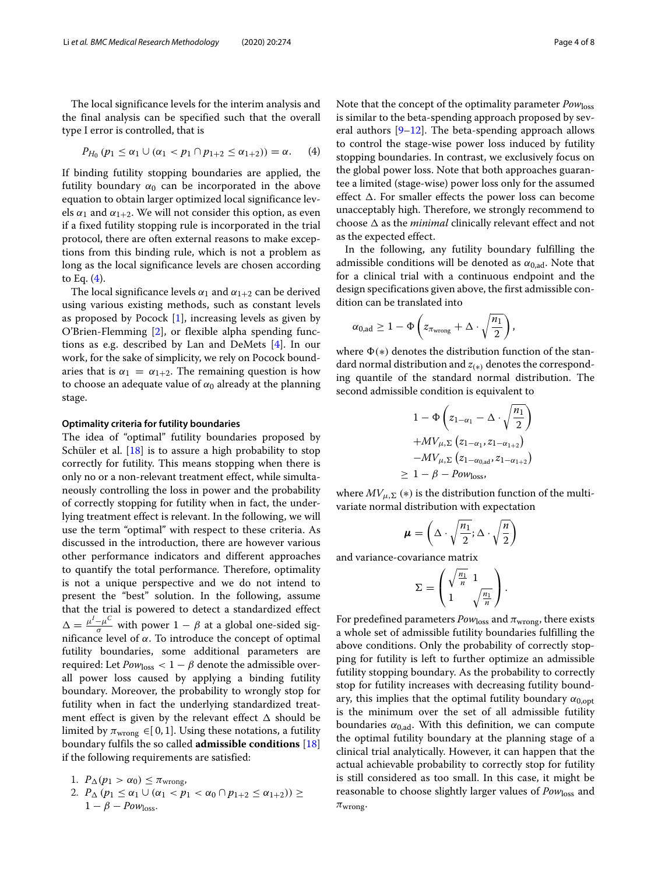The local significance levels for the interim analysis and the final analysis can be specified such that the overall type I error is controlled, that is

<span id="page-3-0"></span>
$$
P_{H_0}(p_1 \leq \alpha_1 \cup (\alpha_1 < p_1 \cap p_{1+2} \leq \alpha_{1+2})) = \alpha. \tag{4}
$$

If binding futility stopping boundaries are applied, the futility boundary  $\alpha_0$  can be incorporated in the above equation to obtain larger optimized local significance levels  $\alpha_1$  and  $\alpha_{1+2}$ . We will not consider this option, as even if a fixed futility stopping rule is incorporated in the trial protocol, there are often external reasons to make exceptions from this binding rule, which is not a problem as long as the local significance levels are chosen according to Eq.  $(4)$ .

The local significance levels  $\alpha_1$  and  $\alpha_{1+2}$  can be derived using various existing methods, such as constant levels as proposed by Pocock [\[1\]](#page-7-0), increasing levels as given by O'Brien-Flemming [\[2\]](#page-7-1), or flexible alpha spending functions as e.g. described by Lan and DeMets [\[4\]](#page-7-21). In our work, for the sake of simplicity, we rely on Pocock boundaries that is  $\alpha_1 = \alpha_{1+2}$ . The remaining question is how to choose an adequate value of  $\alpha_0$  already at the planning stage.

#### **Optimality criteria for futility boundaries**

The idea of "optimal" futility boundaries proposed by Schüler et al. [\[18\]](#page-7-14) is to assure a high probability to stop correctly for futility. This means stopping when there is only no or a non-relevant treatment effect, while simultaneously controlling the loss in power and the probability of correctly stopping for futility when in fact, the underlying treatment effect is relevant. In the following, we will use the term "optimal" with respect to these criteria. As discussed in the introduction, there are however various other performance indicators and different approaches to quantify the total performance. Therefore, optimality is not a unique perspective and we do not intend to present the "best" solution. In the following, assume that the trial is powered to detect a standardized effect  $\Delta = \frac{\mu^I - \mu^C}{\sigma}$  with power  $1 - \beta$  at a global one-sided significance level of α. To introduce the concept of optimal futility boundaries, some additional parameters are required: Let  $Pow<sub>loss</sub> < 1 - \beta$  denote the admissible overall power loss caused by applying a binding futility boundary. Moreover, the probability to wrongly stop for futility when in fact the underlying standardized treatment effect is given by the relevant effect  $\Delta$  should be limited by  $\pi_{\text{wrong}} \in [0, 1]$ . Using these notations, a futility boundary fulfils the so called **admissible conditions** [\[18\]](#page-7-14) if the following requirements are satisfied:

1. 
$$
P_{\Delta}(p_1 > \alpha_0) \leq \pi_{\text{wrong}},
$$

2. 
$$
P_{\Delta}(p_1 \leq \alpha_1 \cup (\alpha_1 < p_1 < \alpha_0 \cap p_{1+2} \leq \alpha_{1+2})) \geq 1 - \beta - Pow_{\text{loss}}.
$$

Note that the concept of the optimality parameter *Pow*loss is similar to the beta-spending approach proposed by several authors  $[9-12]$  $[9-12]$ . The beta-spending approach allows to control the stage-wise power loss induced by futility stopping boundaries. In contrast, we exclusively focus on the global power loss. Note that both approaches guarantee a limited (stage-wise) power loss only for the assumed effect  $\Delta$ . For smaller effects the power loss can become unacceptably high. Therefore, we strongly recommend to choose  $\Delta$  as the *minimal* clinically relevant effect and not as the expected effect.

In the following, any futility boundary fulfilling the admissible conditions will be denoted as  $\alpha_{0,ad}$ . Note that for a clinical trial with a continuous endpoint and the design specifications given above, the first admissible condition can be translated into

$$
\alpha_{0,\text{ad}} \geq 1 - \Phi\left(z_{\pi_{\text{wrong}}} + \Delta \cdot \sqrt{\frac{n_1}{2}}\right),\,
$$

where  $\Phi(*)$  denotes the distribution function of the standard normal distribution and *z*(∗) denotes the corresponding quantile of the standard normal distribution. The second admissible condition is equivalent to

$$
1 - \Phi\left(z_{1-\alpha_{1}} - \Delta \cdot \sqrt{\frac{n_{1}}{2}}\right)
$$
  
+
$$
MV_{\mu,\Sigma}\left(z_{1-\alpha_{1}}, z_{1-\alpha_{1+2}}\right)
$$
  
-
$$
MV_{\mu,\Sigma}\left(z_{1-\alpha_{0,\text{ad}}}, z_{1-\alpha_{1+2}}\right)
$$
  

$$
\geq 1 - \beta - Pow_{\text{loss}},
$$

where  $MV_{\mu, \Sigma}$  (\*) is the distribution function of the multivariate normal distribution with expectation

$$
\boldsymbol{\mu} = \left(\Delta \cdot \sqrt{\frac{n_1}{2}}; \Delta \cdot \sqrt{\frac{n}{2}}\right)
$$

and variance-covariance matrix

$$
\Sigma = \left(\begin{matrix} \sqrt{\frac{n_1}{n}} & 1 \\ 1 & \sqrt{\frac{n_1}{n}} \end{matrix}\right).
$$

For predefined parameters  $Pow_{loss}$  and  $\pi_{wrong}$ , there exists a whole set of admissible futility boundaries fulfilling the above conditions. Only the probability of correctly stopping for futility is left to further optimize an admissible futility stopping boundary. As the probability to correctly stop for futility increases with decreasing futility boundary, this implies that the optimal futility boundary  $\alpha_{0,\text{opt}}$ is the minimum over the set of all admissible futility boundaries  $\alpha_{0,ad}$ . With this definition, we can compute the optimal futility boundary at the planning stage of a clinical trial analytically. However, it can happen that the actual achievable probability to correctly stop for futility is still considered as too small. In this case, it might be reasonable to choose slightly larger values of *Pow*loss and  $\pi_{\text{wrong}}$ .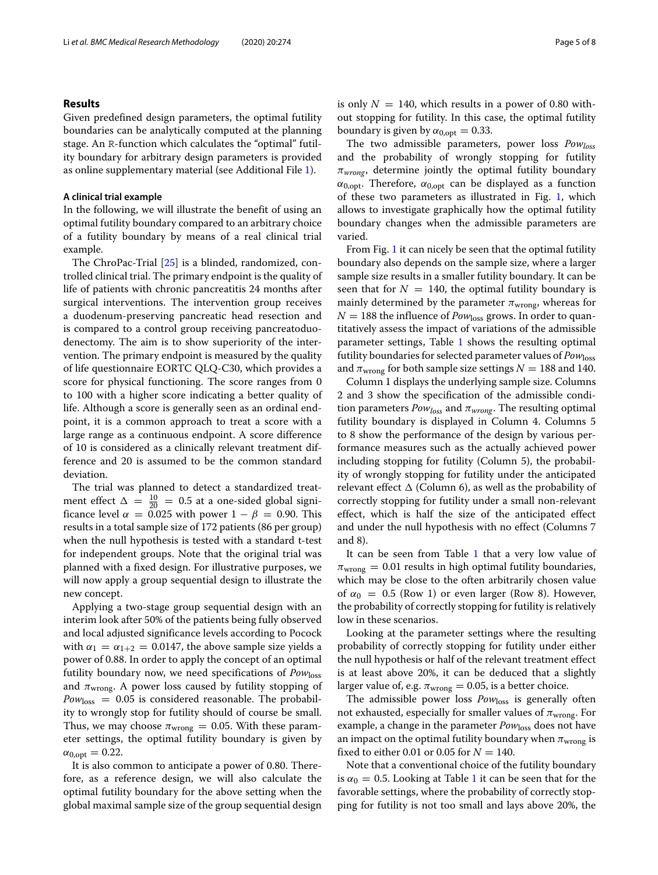#### **Results**

Given predefined design parameters, the optimal futility boundaries can be analytically computed at the planning stage. An R-function which calculates the "optimal" futility boundary for arbitrary design parameters is provided as online supplementary material (see Additional File [1\)](#page-6-0).

#### **A clinical trial example**

In the following, we will illustrate the benefit of using an optimal futility boundary compared to an arbitrary choice of a futility boundary by means of a real clinical trial example.

The ChroPac-Trial [\[25\]](#page-7-22) is a blinded, randomized, controlled clinical trial. The primary endpoint is the quality of life of patients with chronic pancreatitis 24 months after surgical interventions. The intervention group receives a duodenum-preserving pancreatic head resection and is compared to a control group receiving pancreatoduodenectomy. The aim is to show superiority of the intervention. The primary endpoint is measured by the quality of life questionnaire EORTC QLQ-C30, which provides a score for physical functioning. The score ranges from 0 to 100 with a higher score indicating a better quality of life. Although a score is generally seen as an ordinal endpoint, it is a common approach to treat a score with a large range as a continuous endpoint. A score difference of 10 is considered as a clinically relevant treatment difference and 20 is assumed to be the common standard deviation.

The trial was planned to detect a standardized treatment effect  $\Delta = \frac{10}{20} = 0.5$  at a one-sided global significance level  $\alpha = 0.025$  with power  $1 - \beta = 0.90$ . This results in a total sample size of 172 patients (86 per group) when the null hypothesis is tested with a standard t-test for independent groups. Note that the original trial was planned with a fixed design. For illustrative purposes, we will now apply a group sequential design to illustrate the new concept.

Applying a two-stage group sequential design with an interim look after 50% of the patients being fully observed and local adjusted significance levels according to Pocock with  $\alpha_1 = \alpha_{1+2} = 0.0147$ , the above sample size yields a power of 0.88. In order to apply the concept of an optimal futility boundary now, we need specifications of *Pow*loss and  $\pi_{\text{wrong}}$ . A power loss caused by futility stopping of *Pow*loss = 0.05 is considered reasonable. The probability to wrongly stop for futility should of course be small. Thus, we may choose  $\pi_{\text{wrong}} = 0.05$ . With these parameter settings, the optimal futility boundary is given by  $\alpha_{0,\text{opt}} = 0.22$ .

It is also common to anticipate a power of 0.80. Therefore, as a reference design, we will also calculate the optimal futility boundary for the above setting when the global maximal sample size of the group sequential design

The two admissible parameters, power loss *Powloss* and the probability of wrongly stopping for futility  $\pi_{wronq}$ , determine jointly the optimal futility boundary  $\alpha_{0,\text{opt}}$ . Therefore,  $\alpha_{0,\text{opt}}$  can be displayed as a function of these two parameters as illustrated in Fig. [1,](#page-5-0) which allows to investigate graphically how the optimal futility boundary changes when the admissible parameters are varied.

From Fig. [1](#page-5-0) it can nicely be seen that the optimal futility boundary also depends on the sample size, where a larger sample size results in a smaller futility boundary. It can be seen that for  $N = 140$ , the optimal futility boundary is mainly determined by the parameter  $\pi_{\text{wrong}}$ , whereas for  $N = 188$  the influence of  $Pow<sub>loss</sub>$  grows. In order to quantitatively assess the impact of variations of the admissible parameter settings, Table [1](#page-6-1) shows the resulting optimal futility boundaries for selected parameter values of *Pow*loss and  $\pi_{\text{wrong}}$  for both sample size settings  $N = 188$  and 140.

Column 1 displays the underlying sample size. Columns 2 and 3 show the specification of the admissible condition parameters  $Pow_{loss}$  and  $\pi_{wrong}$ . The resulting optimal futility boundary is displayed in Column 4. Columns 5 to 8 show the performance of the design by various performance measures such as the actually achieved power including stopping for futility (Column 5), the probability of wrongly stopping for futility under the anticipated relevant effect  $\Delta$  (Column 6), as well as the probability of correctly stopping for futility under a small non-relevant effect, which is half the size of the anticipated effect and under the null hypothesis with no effect (Columns 7 and 8).

It can be seen from Table [1](#page-6-1) that a very low value of  $\pi_{\text{wrong}} = 0.01$  results in high optimal futility boundaries, which may be close to the often arbitrarily chosen value of  $\alpha_0 = 0.5$  (Row 1) or even larger (Row 8). However, the probability of correctly stopping for futility is relatively low in these scenarios.

Looking at the parameter settings where the resulting probability of correctly stopping for futility under either the null hypothesis or half of the relevant treatment effect is at least above 20%, it can be deduced that a slightly larger value of, e.g.  $\pi_{\text{wrong}} = 0.05$ , is a better choice.

The admissible power loss *Powloss* is generally often not exhausted, especially for smaller values of  $\pi_{\text{wrong}}$ . For example, a change in the parameter *Pow*loss does not have an impact on the optimal futility boundary when  $\pi_{\text{wrong}}$  is fixed to either 0.01 or 0.05 for  $N = 140$ .

Note that a conventional choice of the futility boundary is  $\alpha_0 = 0.5$ . Looking at Table [1](#page-6-1) it can be seen that for the favorable settings, where the probability of correctly stopping for futility is not too small and lays above 20%, the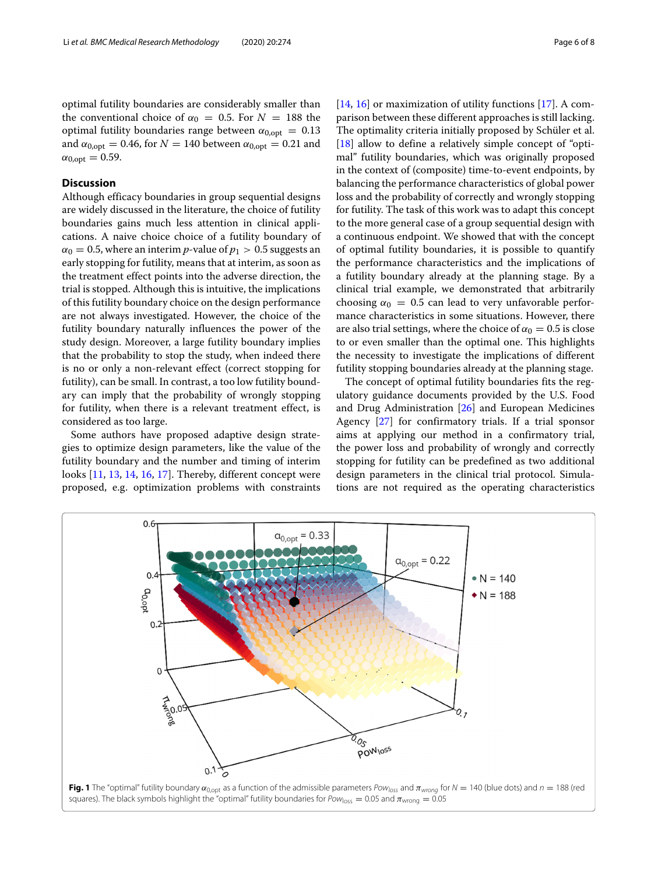optimal futility boundaries are considerably smaller than the conventional choice of  $\alpha_0 = 0.5$ . For  $N = 188$  the optimal futility boundaries range between  $\alpha_{0,\text{opt}} = 0.13$ and  $\alpha_{0,\text{opt}} = 0.46$ , for  $N = 140$  between  $\alpha_{0,\text{opt}} = 0.21$  and  $\alpha_{0,\text{opt}} = 0.59$ .

## **Discussion**

Although efficacy boundaries in group sequential designs are widely discussed in the literature, the choice of futility boundaries gains much less attention in clinical applications. A naive choice choice of a futility boundary of  $\alpha_0 = 0.5$ , where an interim p-value of  $p_1 > 0.5$  suggests an early stopping for futility, means that at interim, as soon as the treatment effect points into the adverse direction, the trial is stopped. Although this is intuitive, the implications of this futility boundary choice on the design performance are not always investigated. However, the choice of the futility boundary naturally influences the power of the study design. Moreover, a large futility boundary implies that the probability to stop the study, when indeed there is no or only a non-relevant effect (correct stopping for futility), can be small. In contrast, a too low futility boundary can imply that the probability of wrongly stopping for futility, when there is a relevant treatment effect, is considered as too large.

Some authors have proposed adaptive design strategies to optimize design parameters, like the value of the futility boundary and the number and timing of interim looks [\[11,](#page-7-23) [13,](#page-7-9) [14,](#page-7-10) [16,](#page-7-12) [17\]](#page-7-13). Thereby, different concept were proposed, e.g. optimization problems with constraints

[\[14,](#page-7-10) [16\]](#page-7-12) or maximization of utility functions [\[17\]](#page-7-13). A comparison between these different approaches is still lacking. The optimality criteria initially proposed by Schüler et al. [\[18\]](#page-7-14) allow to define a relatively simple concept of "optimal" futility boundaries, which was originally proposed in the context of (composite) time-to-event endpoints, by balancing the performance characteristics of global power loss and the probability of correctly and wrongly stopping for futility. The task of this work was to adapt this concept to the more general case of a group sequential design with a continuous endpoint. We showed that with the concept of optimal futility boundaries, it is possible to quantify the performance characteristics and the implications of a futility boundary already at the planning stage. By a clinical trial example, we demonstrated that arbitrarily choosing  $\alpha_0 = 0.5$  can lead to very unfavorable performance characteristics in some situations. However, there are also trial settings, where the choice of  $\alpha_0 = 0.5$  is close to or even smaller than the optimal one. This highlights the necessity to investigate the implications of different futility stopping boundaries already at the planning stage.

The concept of optimal futility boundaries fits the regulatory guidance documents provided by the U.S. Food and Drug Administration [\[26\]](#page-7-24) and European Medicines Agency [\[27\]](#page-7-25) for confirmatory trials. If a trial sponsor aims at applying our method in a confirmatory trial, the power loss and probability of wrongly and correctly stopping for futility can be predefined as two additional design parameters in the clinical trial protocol. Simulations are not required as the operating characteristics

<span id="page-5-0"></span>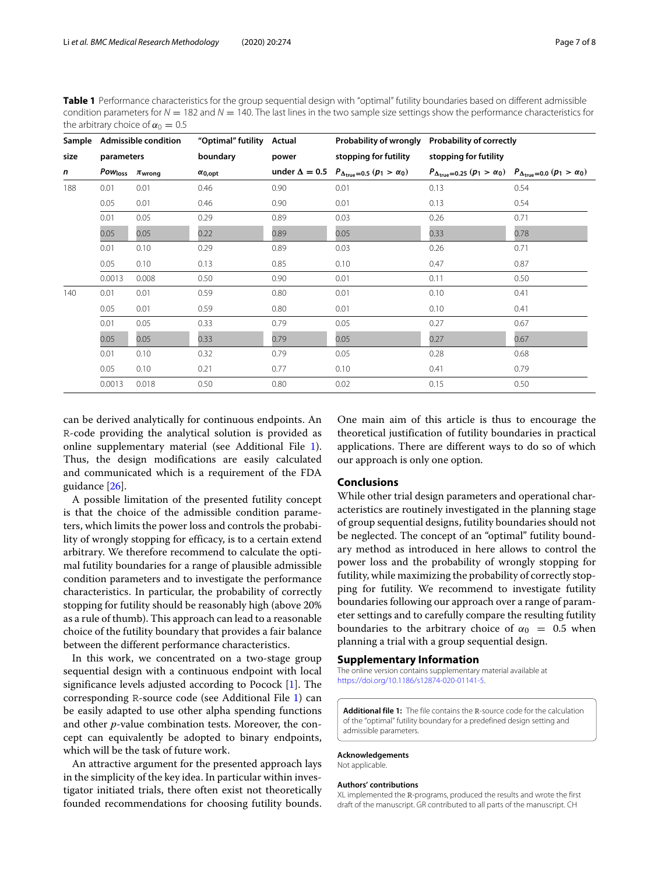<span id="page-6-1"></span>**Table 1** Performance characteristics for the group sequential design with "optimal" futility boundaries based on different admissible condition parameters for  $N = 182$  and  $N = 140$ . The last lines in the two sample size settings show the performance characteristics for the arbitrary choice of  $\alpha_0 = 0.5$ 

| Sample | Admissible condition      |                      | "Optimal" futility Actual |                      | Probability of wrongly                 | Probability of correctly                                                                         |      |
|--------|---------------------------|----------------------|---------------------------|----------------------|----------------------------------------|--------------------------------------------------------------------------------------------------|------|
| size   | parameters                |                      | boundary                  | power                | stopping for futility                  | stopping for futility                                                                            |      |
| n      | <b>Pow<sub>loss</sub></b> | $\pi_{\text{wrong}}$ | $\alpha_{0,\mathrm{opt}}$ | under $\Delta = 0.5$ | $P_{\Delta true=0.5} (p_1 > \alpha_0)$ | $P_{\Delta_{\text{true}}=0.25} (p_1 > \alpha_0)$ $P_{\Delta_{\text{true}}=0.0} (p_1 > \alpha_0)$ |      |
| 188    | 0.01                      | 0.01                 | 0.46                      | 0.90                 | 0.01                                   | 0.13                                                                                             | 0.54 |
|        | 0.05                      | 0.01                 | 0.46                      | 0.90                 | 0.01                                   | 0.13                                                                                             | 0.54 |
|        | 0.01                      | 0.05                 | 0.29                      | 0.89                 | 0.03                                   | 0.26                                                                                             | 0.71 |
|        | 0.05                      | 0.05                 | 0.22                      | 0.89                 | 0.05                                   | 0.33                                                                                             | 0.78 |
|        | 0.01                      | 0.10                 | 0.29                      | 0.89                 | 0.03                                   | 0.26                                                                                             | 0.71 |
|        | 0.05                      | 0.10                 | 0.13                      | 0.85                 | 0.10                                   | 0.47                                                                                             | 0.87 |
|        | 0.0013                    | 0.008                | 0.50                      | 0.90                 | 0.01                                   | 0.11                                                                                             | 0.50 |
| 140    | 0.01                      | 0.01                 | 0.59                      | 0.80                 | 0.01                                   | 0.10                                                                                             | 0.41 |
|        | 0.05                      | 0.01                 | 0.59                      | 0.80                 | 0.01                                   | 0.10                                                                                             | 0.41 |
|        | 0.01                      | 0.05                 | 0.33                      | 0.79                 | 0.05                                   | 0.27                                                                                             | 0.67 |
|        | 0.05                      | 0.05                 | 0.33                      | 0.79                 | 0.05                                   | 0.27                                                                                             | 0.67 |
|        | 0.01                      | 0.10                 | 0.32                      | 0.79                 | 0.05                                   | 0.28                                                                                             | 0.68 |
|        | 0.05                      | 0.10                 | 0.21                      | 0.77                 | 0.10                                   | 0.41                                                                                             | 0.79 |
|        | 0.0013                    | 0.018                | 0.50                      | 0.80                 | 0.02                                   | 0.15                                                                                             | 0.50 |

can be derived analytically for continuous endpoints. An R-code providing the analytical solution is provided as online supplementary material (see Additional File [1\)](#page-6-0). Thus, the design modifications are easily calculated and communicated which is a requirement of the FDA guidance [\[26\]](#page-7-24).

A possible limitation of the presented futility concept is that the choice of the admissible condition parameters, which limits the power loss and controls the probability of wrongly stopping for efficacy, is to a certain extend arbitrary. We therefore recommend to calculate the optimal futility boundaries for a range of plausible admissible condition parameters and to investigate the performance characteristics. In particular, the probability of correctly stopping for futility should be reasonably high (above 20% as a rule of thumb). This approach can lead to a reasonable choice of the futility boundary that provides a fair balance between the different performance characteristics.

In this work, we concentrated on a two-stage group sequential design with a continuous endpoint with local significance levels adjusted according to Pocock [\[1\]](#page-7-0). The corresponding R-source code (see Additional File [1\)](#page-6-0) can be easily adapted to use other alpha spending functions and other *p*-value combination tests. Moreover, the concept can equivalently be adopted to binary endpoints, which will be the task of future work.

An attractive argument for the presented approach lays in the simplicity of the key idea. In particular within investigator initiated trials, there often exist not theoretically founded recommendations for choosing futility bounds.

One main aim of this article is thus to encourage the theoretical justification of futility boundaries in practical applications. There are different ways to do so of which our approach is only one option.

#### **Conclusions**

While other trial design parameters and operational characteristics are routinely investigated in the planning stage of group sequential designs, futility boundaries should not be neglected. The concept of an "optimal" futility boundary method as introduced in here allows to control the power loss and the probability of wrongly stopping for futility, while maximizing the probability of correctly stopping for futility. We recommend to investigate futility boundaries following our approach over a range of parameter settings and to carefully compare the resulting futility boundaries to the arbitrary choice of  $\alpha_0 = 0.5$  when planning a trial with a group sequential design.

## **Supplementary Information**

The online version contains supplementary material available at [https://doi.org/10.1186/s12874-020-01141-5.](https://doi.org/10.1186/s12874-020-01141-5)

<span id="page-6-0"></span>**Additional file 1:** The file contains the R-source code for the calculation of the "optimal" futility boundary for a predefined design setting and admissible parameters.

#### **Acknowledgements**

Not applicable.

#### **Authors' contributions**

XL implemented the R-programs, produced the results and wrote the first draft of the manuscript. GR contributed to all parts of the manuscript. CH